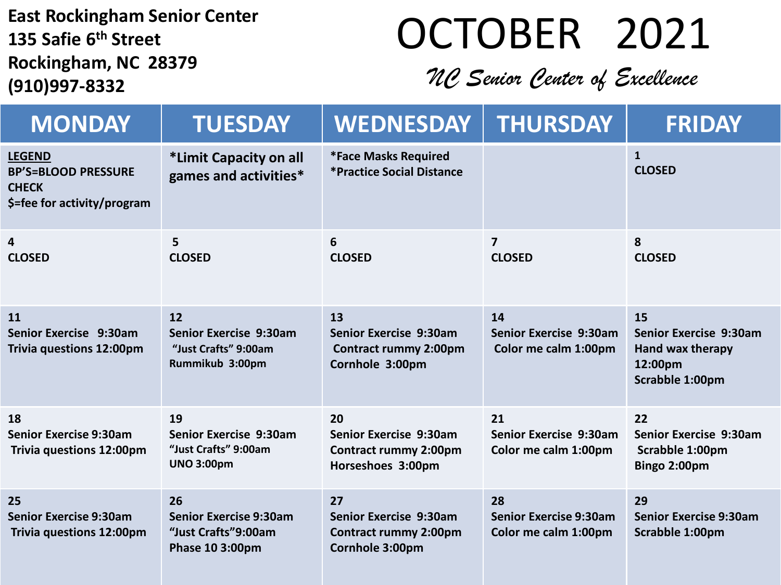**East Rockingham Senior Center 135 Safie 6 th Street Rockingham, NC 28379 (910)997-8332**

## OCTOBER 2021

### *NC Senior Center of Excellence*

| <b>MONDAY</b>                                                                              | <b>TUESDAY</b>                                                                   | <b>WEDNESDAY</b>                                                                  | <b>THURSDAY</b>                                             | <b>FRIDAY</b>                                                                         |
|--------------------------------------------------------------------------------------------|----------------------------------------------------------------------------------|-----------------------------------------------------------------------------------|-------------------------------------------------------------|---------------------------------------------------------------------------------------|
| <b>LEGEND</b><br><b>BP'S=BLOOD PRESSURE</b><br><b>CHECK</b><br>\$=fee for activity/program | *Limit Capacity on all<br>games and activities*                                  | <b>*Face Masks Required</b><br>*Practice Social Distance                          |                                                             | $\mathbf{1}$<br><b>CLOSED</b>                                                         |
| 4<br><b>CLOSED</b>                                                                         | 5<br><b>CLOSED</b>                                                               | 6<br><b>CLOSED</b>                                                                | $\overline{7}$<br><b>CLOSED</b>                             | 8<br><b>CLOSED</b>                                                                    |
| 11<br>Senior Exercise 9:30am<br>Trivia questions 12:00pm                                   | 12<br>Senior Exercise 9:30am<br>"Just Crafts" 9:00am<br>Rummikub 3:00pm          | 13<br>Senior Exercise 9:30am<br><b>Contract rummy 2:00pm</b><br>Cornhole 3:00pm   | 14<br>Senior Exercise 9:30am<br>Color me calm 1:00pm        | 15<br><b>Senior Exercise 9:30am</b><br>Hand wax therapy<br>12:00pm<br>Scrabble 1:00pm |
| 18<br><b>Senior Exercise 9:30am</b><br>Trivia questions 12:00pm                            | 19<br><b>Senior Exercise 9:30am</b><br>"Just Crafts" 9:00am<br><b>UNO 3:00pm</b> | 20<br>Senior Exercise 9:30am<br><b>Contract rummy 2:00pm</b><br>Horseshoes 3:00pm | 21<br>Senior Exercise 9:30am<br>Color me calm 1:00pm        | 22<br><b>Senior Exercise 9:30am</b><br>Scrabble 1:00pm<br>Bingo 2:00pm                |
| 25<br><b>Senior Exercise 9:30am</b><br>Trivia questions 12:00pm                            | 26<br><b>Senior Exercise 9:30am</b><br>"Just Crafts"9:00am<br>Phase 10 3:00pm    | 27<br>Senior Exercise 9:30am<br><b>Contract rummy 2:00pm</b><br>Cornhole 3:00pm   | 28<br><b>Senior Exercise 9:30am</b><br>Color me calm 1:00pm | 29<br><b>Senior Exercise 9:30am</b><br>Scrabble 1:00pm                                |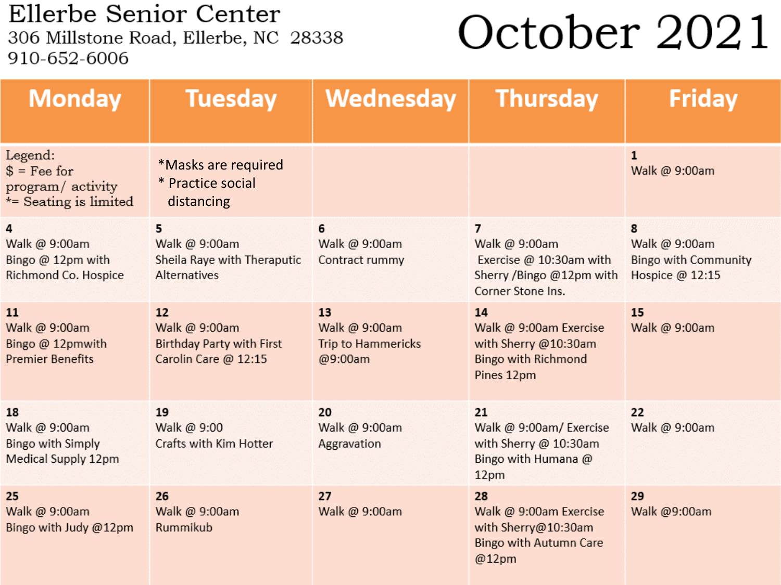Ellerbe Senior Center 306 Millstone Road, Ellerbe, NC 28338 910-652-6006

# October 2021

| <b>Monday</b>                                                          | <b>Tuesday</b>                                                                  | Wednesday                                                   | <b>Thursday</b>                                                                                             | <b>Friday</b>                                                        |
|------------------------------------------------------------------------|---------------------------------------------------------------------------------|-------------------------------------------------------------|-------------------------------------------------------------------------------------------------------------|----------------------------------------------------------------------|
| Legend:<br>$$ = Fee for$<br>program/activity<br>*= Seating is limited  | *Masks are required<br>* Practice social<br>distancing                          |                                                             |                                                                                                             | $\mathbf{1}$<br>Walk @ 9:00am                                        |
| 4<br>Walk @ 9:00am<br>Bingo @ 12pm with<br>Richmond Co. Hospice        | 5<br>Walk @ 9:00am<br>Sheila Raye with Theraputic<br><b>Alternatives</b>        | 6<br>Walk @ 9:00am<br>Contract rummy                        | $\overline{7}$<br>Walk @ 9:00am<br>Exercise @ 10:30am with<br>Sherry /Bingo @12pm with<br>Corner Stone Ins. | 8<br>Walk @ 9:00am<br><b>Bingo with Community</b><br>Hospice @ 12:15 |
| 11<br>Walk @ 9:00am<br>Bingo @ 12pmwith<br><b>Premier Benefits</b>     | 12<br>Walk @ 9:00am<br><b>Birthday Party with First</b><br>Carolin Care @ 12:15 | 13<br>Walk @ 9:00am<br><b>Trip to Hammericks</b><br>@9:00am | 14<br>Walk @ 9:00am Exercise<br>with Sherry @10:30am<br><b>Bingo with Richmond</b><br>Pines 12pm            | 15<br>Walk @ 9:00am                                                  |
| 18<br>Walk @ 9:00am<br><b>Bingo with Simply</b><br>Medical Supply 12pm | 19<br>Walk @ 9:00<br>Crafts with Kim Hotter                                     | 20<br>Walk @ 9:00am<br><b>Aggravation</b>                   | 21<br>Walk @ 9:00am/ Exercise<br>with Sherry @ 10:30am<br>Bingo with Humana @<br>12pm                       | 22<br>Walk @ 9:00am                                                  |
| 25<br>Walk @ 9:00am<br>Bingo with Judy @12pm                           | 26<br>Walk @ 9:00am<br>Rummikub                                                 | 27<br>Walk @ 9:00am                                         | 28<br>Walk @ 9:00am Exercise<br>with Sherry@10:30am<br>Bingo with Autumn Care<br>@12pm                      | 29<br>Walk @9:00am                                                   |